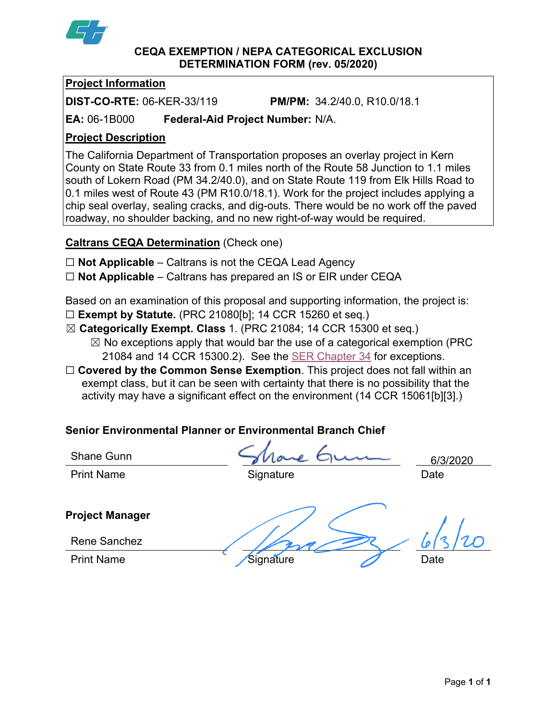

**CEQA EXEMPTION / NEPA CATEGORICAL EXCLUSION DETERMINATION FORM (rev. 05/2020)**

## **Project Information**

**DIST-CO-RTE:** 06-KER-33/119 **PM/PM:** 34.2/40.0, R10.0/18.1

**EA:** 06-1B000 **Federal-Aid Project Number:** N/A.

## **Project Description**

The California Department of Transportation proposes an overlay project in Kern County on State Route 33 from 0.1 miles north of the Route 58 Junction to 1.1 miles south of Lokern Road (PM 34.2/40.0), and on State Route 119 from Elk Hills Road to 0.1 miles west of Route 43 (PM R10.0/18.1). Work for the project includes applying a chip seal overlay, sealing cracks, and dig-outs. There would be no work off the paved roadway, no shoulder backing, and no new right-of-way would be required.

## **Caltrans CEQA Determination** (Check one)

- ☐ **Not Applicable** Caltrans is not the CEQA Lead Agency
- ☐ **Not Applicable** Caltrans has prepared an IS or EIR under CEQA

Based on an examination of this proposal and supporting information, the project is:

- ☐ **Exempt by Statute.** (PRC 21080[b]; 14 CCR 15260 et seq.)
- ☒ **Categorically Exempt. Class** 1. (PRC 21084; 14 CCR 15300 et seq.)
	- $\boxtimes$  No exceptions apply that would bar the use of a categorical exemption (PRC 21084 and 14 CCR 15300.2). See the [SER Chapter 34](https://dot.ca.gov/programs/environmental-analysis/standard-environmental-reference-ser/volume-1-guidance-for-compliance/ch-34-exemptions-to-ceqa#except) for exceptions.
- □ **Covered by the Common Sense Exemption**. This project does not fall within an exempt class, but it can be seen with certainty that there is no possibility that the activity may have a significant effect on the environment (14 CCR 15061[b][3].)

# **Senior Environmental Planner or Environmental Branch Chief**

Shane Gunn

6/3/2020

Print Name **Signature Date** 

**Project Manager**

Rene Sanchez

Print Name Signature All Assembly Signature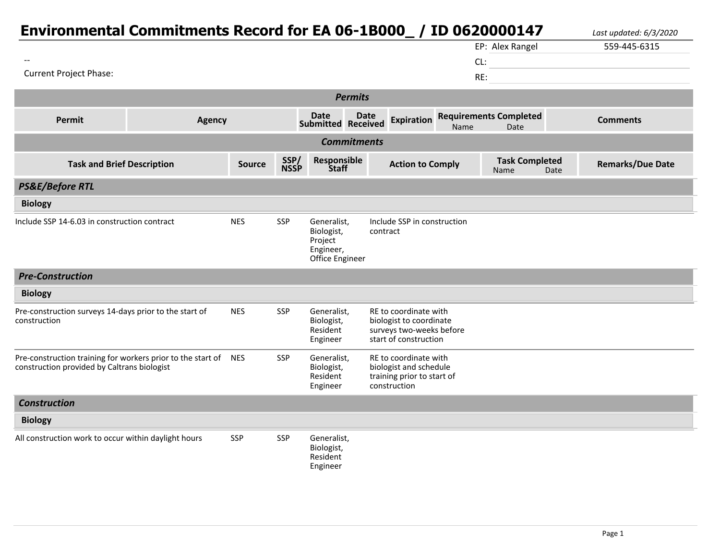| Environmental Commitments Record for EA 06-1B000_/ ID 0620000147                                               |               |               |              |                                                                      |             |                                                                                                       |      |                                       |      | Last updated: 6/3/2020  |
|----------------------------------------------------------------------------------------------------------------|---------------|---------------|--------------|----------------------------------------------------------------------|-------------|-------------------------------------------------------------------------------------------------------|------|---------------------------------------|------|-------------------------|
|                                                                                                                |               |               |              |                                                                      |             |                                                                                                       |      | EP: Alex Rangel                       |      | 559-445-6315            |
|                                                                                                                |               |               |              |                                                                      |             |                                                                                                       |      | CL:                                   |      |                         |
| <b>Current Project Phase:</b>                                                                                  |               |               |              |                                                                      |             |                                                                                                       |      | RE:                                   |      |                         |
| <b>Permits</b>                                                                                                 |               |               |              |                                                                      |             |                                                                                                       |      |                                       |      |                         |
| <b>Permit</b>                                                                                                  | <b>Agency</b> |               |              | Date<br><b>Submitted Received</b>                                    | <b>Date</b> | <b>Expiration</b>                                                                                     | Name | <b>Requirements Completed</b><br>Date |      | <b>Comments</b>         |
|                                                                                                                |               |               |              | <b>Commitments</b>                                                   |             |                                                                                                       |      |                                       |      |                         |
| <b>Task and Brief Description</b>                                                                              |               | <b>Source</b> | SSP/<br>NSSP | Responsible<br><b>Staff</b>                                          |             | <b>Action to Comply</b>                                                                               |      | <b>Task Completed</b><br>Name         | Date | <b>Remarks/Due Date</b> |
| <b>PS&amp;E/Before RTL</b>                                                                                     |               |               |              |                                                                      |             |                                                                                                       |      |                                       |      |                         |
| <b>Biology</b>                                                                                                 |               |               |              |                                                                      |             |                                                                                                       |      |                                       |      |                         |
| Include SSP 14-6.03 in construction contract<br><b>NES</b>                                                     |               |               | SSP          | Generalist,<br>Biologist,<br>Project<br>Engineer,<br>Office Engineer |             | Include SSP in construction<br>contract                                                               |      |                                       |      |                         |
| <b>Pre-Construction</b>                                                                                        |               |               |              |                                                                      |             |                                                                                                       |      |                                       |      |                         |
| <b>Biology</b>                                                                                                 |               |               |              |                                                                      |             |                                                                                                       |      |                                       |      |                         |
| Pre-construction surveys 14-days prior to the start of<br>construction                                         |               | <b>NES</b>    | SSP          | Generalist,<br>Biologist,<br>Resident<br>Engineer                    |             | RE to coordinate with<br>biologist to coordinate<br>surveys two-weeks before<br>start of construction |      |                                       |      |                         |
| Pre-construction training for workers prior to the start of NES<br>construction provided by Caltrans biologist |               |               | <b>SSP</b>   | Generalist,<br>Biologist,<br>Resident<br>Engineer                    |             | RE to coordinate with<br>biologist and schedule<br>training prior to start of<br>construction         |      |                                       |      |                         |
| <b>Construction</b>                                                                                            |               |               |              |                                                                      |             |                                                                                                       |      |                                       |      |                         |
| <b>Biology</b>                                                                                                 |               |               |              |                                                                      |             |                                                                                                       |      |                                       |      |                         |
| All construction work to occur within daylight hours                                                           |               | <b>SSP</b>    | SSP          | Generalist,<br>Biologist,<br>Resident<br>Engineer                    |             |                                                                                                       |      |                                       |      |                         |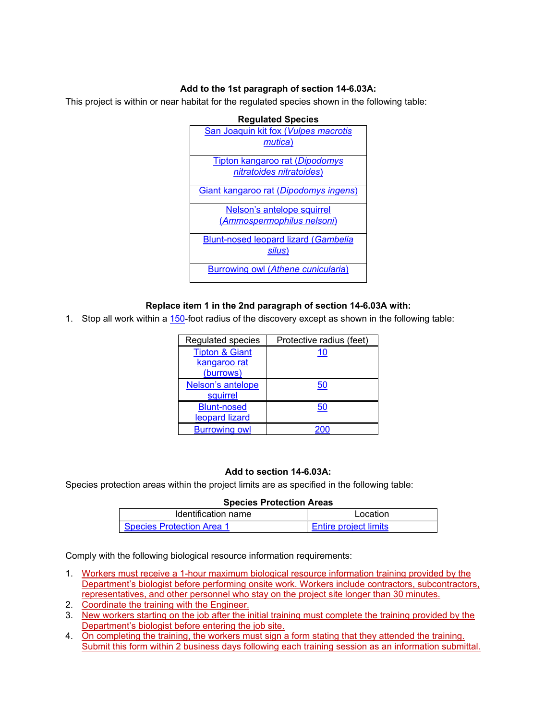#### **Add to the 1st paragraph of section 14-6.03A:**

This project is within or near habitat for the regulated species shown in the following table:



### **Replace item 1 in the 2nd paragraph of section 14-6.03A with:**

1. Stop all work within a 150-foot radius of the discovery except as shown in the following table:

| Regulated species         | Protective radius (feet) |  |  |  |
|---------------------------|--------------------------|--|--|--|
| <b>Tipton &amp; Giant</b> | 10                       |  |  |  |
| kangaroo rat              |                          |  |  |  |
| (burrows)                 |                          |  |  |  |
| Nelson's antelope         | 50                       |  |  |  |
| squirrel                  |                          |  |  |  |
| <b>Blunt-nosed</b>        | 50                       |  |  |  |
| leopard lizard            |                          |  |  |  |
| <b>Burrowing owl</b>      |                          |  |  |  |

#### **Add to section 14-6.03A:**

Species protection areas within the project limits are as specified in the following table:

#### **Species Protection Areas**

| Identification name              | Location                     |  |  |  |  |
|----------------------------------|------------------------------|--|--|--|--|
| <b>Species Protection Area 1</b> | <b>Entire project limits</b> |  |  |  |  |

Comply with the following biological resource information requirements:

- 1. Workers must receive a 1-hour maximum biological resource information training provided by the Department's biologist before performing onsite work. Workers include contractors, subcontractors, representatives, and other personnel who stay on the project site longer than 30 minutes.
- 2. Coordinate the training with the Engineer.
- 3. New workers starting on the job after the initial training must complete the training provided by the Department's biologist before entering the job site.
- 4. On completing the training, the workers must sign a form stating that they attended the training. Submit this form within 2 business days following each training session as an information submittal.